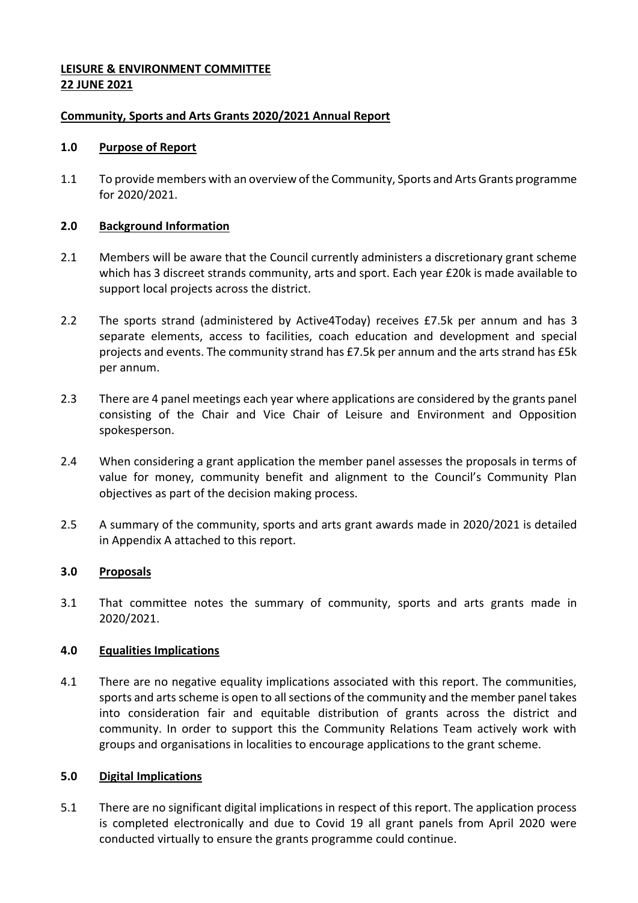# **LEISURE & ENVIRONMENT COMMITTEE 22 JUNE 2021**

## **Community, Sports and Arts Grants 2020/2021 Annual Report**

#### **1.0 Purpose of Report**

1.1 To provide members with an overview of the Community, Sports and Arts Grants programme for 2020/2021.

### **2.0 Background Information**

- 2.1 Members will be aware that the Council currently administers a discretionary grant scheme which has 3 discreet strands community, arts and sport. Each year £20k is made available to support local projects across the district.
- 2.2 The sports strand (administered by Active4Today) receives £7.5k per annum and has 3 separate elements, access to facilities, coach education and development and special projects and events. The community strand has £7.5k per annum and the arts strand has £5k per annum.
- 2.3 There are 4 panel meetings each year where applications are considered by the grants panel consisting of the Chair and Vice Chair of Leisure and Environment and Opposition spokesperson.
- 2.4 When considering a grant application the member panel assesses the proposals in terms of value for money, community benefit and alignment to the Council's Community Plan objectives as part of the decision making process.
- 2.5 A summary of the community, sports and arts grant awards made in 2020/2021 is detailed in Appendix A attached to this report.

# **3.0 Proposals**

3.1 That committee notes the summary of community, sports and arts grants made in 2020/2021.

# **4.0 Equalities Implications**

4.1 There are no negative equality implications associated with this report. The communities, sports and arts scheme is open to all sections of the community and the member panel takes into consideration fair and equitable distribution of grants across the district and community. In order to support this the Community Relations Team actively work with groups and organisations in localities to encourage applications to the grant scheme.

#### **5.0 Digital Implications**

5.1 There are no significant digital implications in respect of this report. The application process is completed electronically and due to Covid 19 all grant panels from April 2020 were conducted virtually to ensure the grants programme could continue.